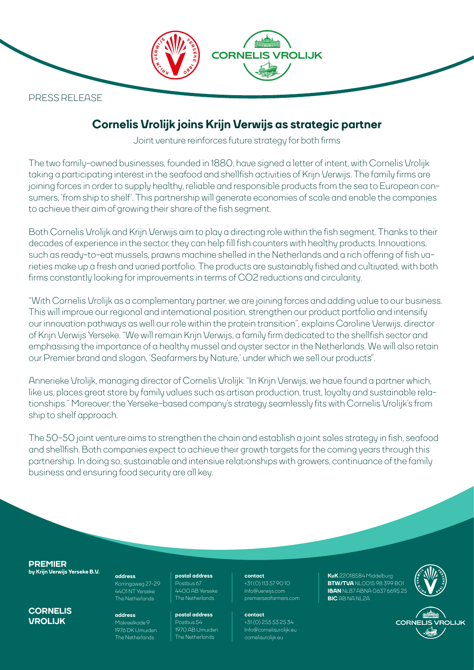**CORNE** OLIJK PRESS RELEASE

# **Cornelis Vrolijk joins Krijn Verwijs as strategic partner**

Joint venture reinforces future strategy for both firms

The two family-owned businesses, founded in 1880, have signed a letter of intent, with Cornelis Vrolijk taking a participating interest in the seafood and shellfish activities of Krijn Verwijs. The family firms are joining forces in order to supply healthy, reliable and responsible products from the sea to European consumers, 'from ship to shelf'. This partnership will generate economies of scale and enable the companies to achieve their aim of growing their share of the fish segment.

Both Cornelis Vrolijk and Krijn Verwijs aim to play a directing role within the fish segment. Thanks to their decades of experience in the sector, they can help fill fish counters with healthy products. Innovations, such as ready-to-eat mussels, prawns machine shelled in the Netherlands and a rich offering of fish varieties make up a fresh and varied portfolio. The products are sustainably fished and cultivated, with both firms constantly looking for improvements in terms of CO2 reductions and circularity.

"With Cornelis Vrolijk as a complementary partner, we are joining forces and adding value to our business. This will improve our regional and international position, strengthen our product portfolio and intensify our innovation pathways as well our role within the protein transition", explains Caroline Verwijs, director of Krijn Verwijs Yerseke. "We will remain Krijn Verwijs, a family firm dedicated to the shellfish sector and emphasising the importance of a healthy mussel and oyster sector in the Netherlands. We will also retain our Premier brand and slogan, 'Seafarmers by Nature,' under which we sell our products".

Annerieke Vrolijk, managing director of Cornelis Vrolijk: "In Krijn Verwijs, we have found a partner which, like us, places great store by family values such as artisan production, trust, loyalty and sustainable relationships." Moreover, the Yerseke-based company's strategy seamlessly fits with Cornelis Vrolijk's from ship to shelf approach.

The 50-50 joint venture aims to strengthen the chain and establish a joint sales strategy in fish, seafood and shellfish. Both companies expect to achieve their growth targets for the coming years through this partnership. In doing so, sustainable and intensive relationships with growers, continuance of the family business and ensuring food security are all key.

**PREMIER by Krijn Verwijs Yerseke B.V. postal address**

**CORNELIS VROLIJK**

**address** Korringaweg 27-29 4401 NT Yerseke

> **address** Makreelkade 9 1976 DK IJmuiden

The Netherlands

Postbus 67 4400 AB Yerseke The Netherlands

**postal address** Postbus 54 1970 AB IJmuiden The Netherlands

**contact** +31 (0) 113 57 90 10

[Info@verwijs.com](mailto:info%40verwijs.com?subject=) [premierseafarmers.com](https://krijnverwijs.com/en)

**contact** +31 (0) 255 53 25 34 [Info@cornelisvrolijk.eu](mailto:info%40cornelisvrolijk.eu?subject=) The Netherlands | The Netherlands | [cornelisvrolijk.eu](https://www.cornelisvrolijk.eu)

**KvK** 22018584 Middelburg **BTW/TVA** NL0015 98 399 B01 **IBAN** NL87 ABNA 0637 6695 25<br>**BIC** AB NA NL2A